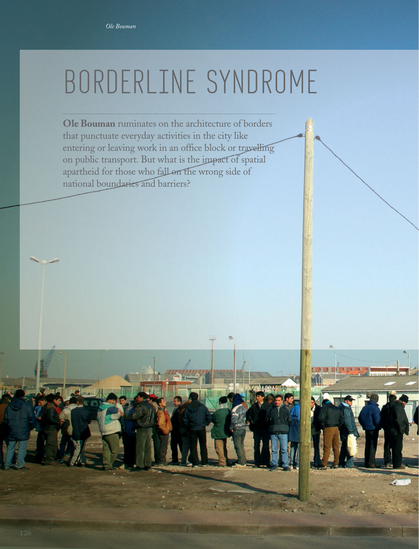## BORDERLINE SYNDROME

**Ole Bouman** ruminates on the architecture of borders that punctuate everyday activities in the city like entering or leaving work in an office block or travelling on public transport. But what is the impact of spatial apartheid for those who fall on the wrong side of national boundaries and barriers?